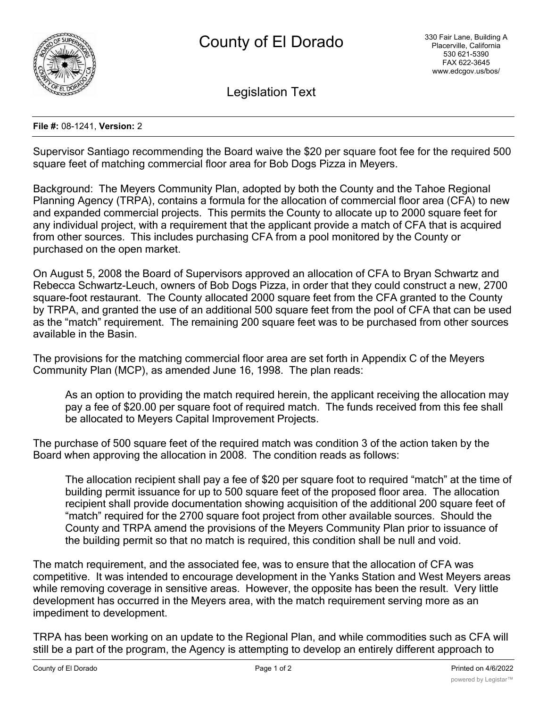

Legislation Text

## **File #:** 08-1241, **Version:** 2

Supervisor Santiago recommending the Board waive the \$20 per square foot fee for the required 500 square feet of matching commercial floor area for Bob Dogs Pizza in Meyers.

Background: The Meyers Community Plan, adopted by both the County and the Tahoe Regional Planning Agency (TRPA), contains a formula for the allocation of commercial floor area (CFA) to new and expanded commercial projects. This permits the County to allocate up to 2000 square feet for any individual project, with a requirement that the applicant provide a match of CFA that is acquired from other sources. This includes purchasing CFA from a pool monitored by the County or purchased on the open market.

On August 5, 2008 the Board of Supervisors approved an allocation of CFA to Bryan Schwartz and Rebecca Schwartz-Leuch, owners of Bob Dogs Pizza, in order that they could construct a new, 2700 square-foot restaurant. The County allocated 2000 square feet from the CFA granted to the County by TRPA, and granted the use of an additional 500 square feet from the pool of CFA that can be used as the "match" requirement. The remaining 200 square feet was to be purchased from other sources available in the Basin.

The provisions for the matching commercial floor area are set forth in Appendix C of the Meyers Community Plan (MCP), as amended June 16, 1998. The plan reads:

As an option to providing the match required herein, the applicant receiving the allocation may pay a fee of \$20.00 per square foot of required match. The funds received from this fee shall be allocated to Meyers Capital Improvement Projects.

The purchase of 500 square feet of the required match was condition 3 of the action taken by the Board when approving the allocation in 2008. The condition reads as follows:

The allocation recipient shall pay a fee of \$20 per square foot to required "match" at the time of building permit issuance for up to 500 square feet of the proposed floor area. The allocation recipient shall provide documentation showing acquisition of the additional 200 square feet of "match" required for the 2700 square foot project from other available sources. Should the County and TRPA amend the provisions of the Meyers Community Plan prior to issuance of the building permit so that no match is required, this condition shall be null and void.

The match requirement, and the associated fee, was to ensure that the allocation of CFA was competitive. It was intended to encourage development in the Yanks Station and West Meyers areas while removing coverage in sensitive areas. However, the opposite has been the result. Very little development has occurred in the Meyers area, with the match requirement serving more as an impediment to development.

TRPA has been working on an update to the Regional Plan, and while commodities such as CFA will still be a part of the program, the Agency is attempting to develop an entirely different approach to